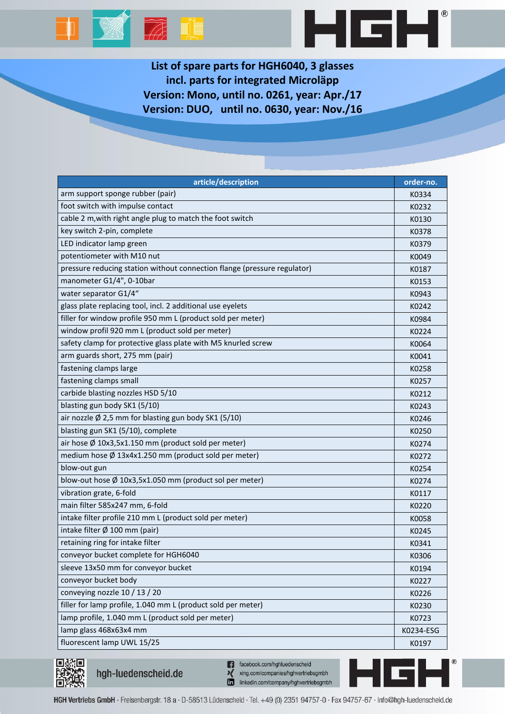

**List of spare parts for HGH6040, 3 glasses incl. parts for integrated Microläpp Version: Mono, until no. 0261, year: Apr./17 Version: DUO, until no. 0630, year: Nov./16**

HGH

| article/description                                                      | order-no. |
|--------------------------------------------------------------------------|-----------|
| arm support sponge rubber (pair)                                         | K0334     |
| foot switch with impulse contact                                         | K0232     |
| cable 2 m, with right angle plug to match the foot switch                | K0130     |
| key switch 2-pin, complete                                               | K0378     |
| LED indicator lamp green                                                 | K0379     |
| potentiometer with M10 nut                                               | K0049     |
| pressure reducing station without connection flange (pressure regulator) | K0187     |
| manometer G1/4", 0-10bar                                                 | K0153     |
| water separator G1/4"                                                    | K0943     |
| glass plate replacing tool, incl. 2 additional use eyelets               | K0242     |
| filler for window profile 950 mm L (product sold per meter)              | K0984     |
| window profil 920 mm L (product sold per meter)                          | K0224     |
| safety clamp for protective glass plate with M5 knurled screw            | K0064     |
| arm guards short, 275 mm (pair)                                          | K0041     |
| fastening clamps large                                                   | K0258     |
| fastening clamps small                                                   | K0257     |
| carbide blasting nozzles HSD 5/10                                        | K0212     |
| blasting gun body SK1 (5/10)                                             | K0243     |
| air nozzle $\emptyset$ 2,5 mm for blasting gun body SK1 (5/10)           | K0246     |
| blasting gun SK1 (5/10), complete                                        | K0250     |
| air hose $\emptyset$ 10x3,5x1.150 mm (product sold per meter)            | K0274     |
| medium hose Ø 13x4x1.250 mm (product sold per meter)                     | K0272     |
| blow-out gun                                                             | K0254     |
| blow-out hose Ø 10x3,5x1.050 mm (product sol per meter)                  | K0274     |
| vibration grate, 6-fold                                                  | K0117     |
| main filter 585x247 mm, 6-fold                                           | K0220     |
| intake filter profile 210 mm L (product sold per meter)                  | K0058     |
| intake filter Ø 100 mm (pair)                                            | K0245     |
| retaining ring for intake filter                                         | K0341     |
| conveyor bucket complete for HGH6040                                     | K0306     |
| sleeve 13x50 mm for conveyor bucket                                      | K0194     |
| conveyor bucket body                                                     | K0227     |
| conveying nozzle 10 / 13 / 20                                            | K0226     |
| filler for lamp profile, 1.040 mm L (product sold per meter)             | K0230     |
| lamp profile, 1.040 mm L (product sold per meter)                        | K0723     |
| lamp glass 468x63x4 mm                                                   | K0234-ESG |
| fluorescent lamp UWL 15/25                                               | K0197     |



hgh-luedenscheid.de

n facebook.com/hghluedenscheid xing.com/companies/hghvertriebsgmbh linkedin.com/company/hghvertriebsgmbh